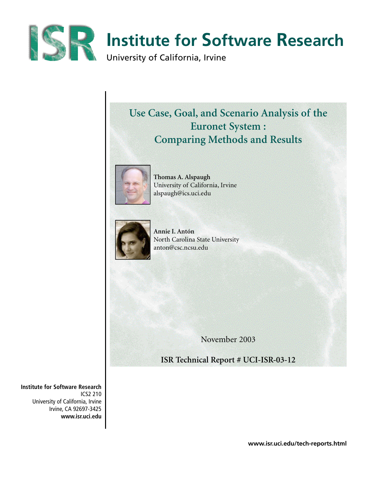

# **Use Case, Goal, and Scenario Analysis of the Euronet System : Comparing Methods and Results**



**Thomas A. Alspaugh** University of California, Irvine alspaugh@ics.uci.edu



**Annie I. Antón** North Carolina State University anton@csc.ncsu.edu

November 2003

**ISR Technical Report # UCI-ISR-03-12**

**Institute for Software Research** ICS2 210 University of California, Irvine Irvine, CA 92697-3425 **www.isr.uci.edu**

**www.isr.uci.edu/tech-reports.html**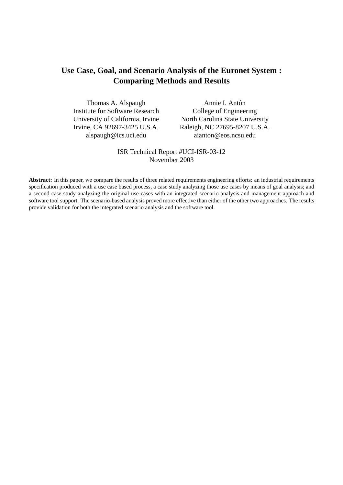# **Use Case, Goal, and Scenario Analysis of the Euronet System : Comparing Methods and Results**

Thomas A. Alspaugh Institute for Software Research University of California, Irvine Irvine, CA 92697-3425 U.S.A. alspaugh@ics.uci.edu

Annie I. Antón College of Engineering North Carolina State University Raleigh, NC 27695-8207 U.S.A. aianton@eos.ncsu.edu

# ISR Technical Report #UCI-ISR-03-12 November 2003

Abstract: In this paper, we compare the results of three related requirements engineering efforts: an industrial requirements specification produced with a use case based process, a case study analyzing those use cases by means of goal analysis; and a second case study analyzing the original use cases with an integrated scenario analysis and management approach and software tool support. The scenario-based analysis proved more effective than either of the other two approaches. The results provide validation for both the integrated scenario analysis and the software tool.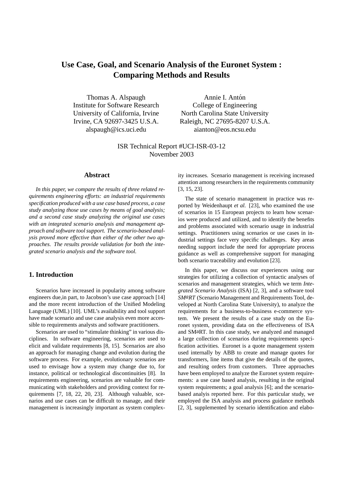# **Use Case, Goal, and Scenario Analysis of the Euronet System : Comparing Methods and Results**

Thomas A. Alspaugh Institute for Software Research University of California, Irvine Irvine, CA 92697-3425 U.S.A. alspaugh@ics.uci.edu

Annie I. Antón College of Engineering North Carolina State University Raleigh, NC 27695-8207 U.S.A. aianton@eos.ncsu.edu

ISR Technical Report #UCI-ISR-03-12 November 2003

### **Abstract**

*In this paper, we compare the results of three related requirements engineering efforts: an industrial requirements specification produced with a use case based process, a case study analyzing those use cases by means of goal analysis; and a second case study analyzing the original use cases with an integrated scenario analysis and management approach and software tool support. The scenario-based analysis proved more effective than either of the other two approaches. The results provide validation for both the integrated scenario analysis and the software tool.*

# **1. Introduction**

Scenarios have increased in popularity among software engineers due,in part, to Jacobson's use case approach [14] and the more recent introduction of the Unified Modeling Language (UML) [10]. UML's availability and tool support have made scenario and use case analysis even more accessible to requirements analysts and software practitioners.

Scenarios are used to "stimulate thinking" in various disciplines. In software engineering, scenarios are used to elicit and validate requirements [8, 15]. Scenarios are also an approach for managing change and evolution during the software process. For example, evolutionary scenarios are used to envisage how a system may change due to, for instance, political or technological discontinuities [8]. In requirements engineering, scenarios are valuable for communicating with stakeholders and providing context for requirements [7, 18, 22, 20, 23]. Although valuable, scenarios and use cases can be difficult to manage, and their management is increasingly important as system complexity increases. Scenario management is receiving increased attention among researchers in the requirements community [3, 15, 23].

The state of scenario management in practice was reported by Weidenhaupt *et al.* [23], who examined the use of scenarios in 15 European projects to learn how scenarios were produced and utilized, and to identify the benefits and problems associated with scenario usage in industrial settings. Practitioners using scenarios or use cases in industrial settings face very specific challenges. Key areas needing support include the need for appropriate process guidance as well as comprehensive support for managing both scenario traceability and evolution [23].

In this paper, we discuss our experiences using our strategies for utilizing a collection of syntactic analyses of scenarios and management strategies, which we term *Integrated Scenario Analysis* (ISA) [2, 3], and a software tool *SMaRT* (Scenario Management and Requirements Tool, developed at North Carolina State University), to analyze the requirements for a business-to-business e-commerce system. We present the results of a case study on the Euronet system, providing data on the effectiveness of ISA and SMaRT. In this case study, we analyzed and managed a large collection of scenarios during requirements specification activities. Euronet is a quote management system used internally by ABB to create and manage quotes for transformers, line items that give the details of the quotes, and resulting orders from customers. Three approaches have been employed to analyze the Euronet system requirements: a use case based analysis, resulting in the original system requirements; a goal analysis [6]; and the scenariobased analyis reported here. For this particular study, we employed the ISA analysis and process guidance methods [2, 3], supplemented by scenario identification and elabo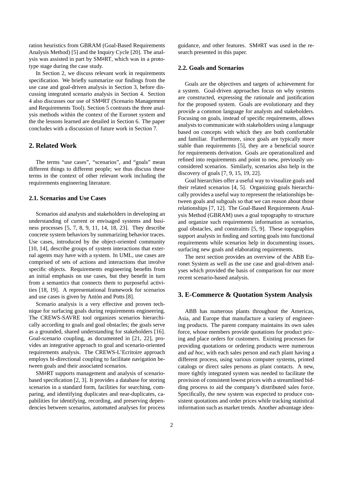ration heuristics from GBRAM (Goal-Based Requirements Analysis Method) [5] and the Inquiry Cycle [20]. The analysis was assisted in part by SMaRT, which was in a prototype stage during the case study.

In Section 2, we discuss relevant work in requirements specification. We briefly summarize our findings from the use case and goal-driven analysis in Section 3, before discussing integrated scenario analysis in Section 4. Section 4 also discusses our use of SMaRT (Scenario Management and Requirements Tool). Section 5 contrasts the three analysis methods within the context of the Euronet system and the the lessons learned are detailed in Section 6. The paper concludes with a discussion of future work in Section 7.

### **2. Related Work**

The terms "use cases", "scenarios", and "goals" mean different things to different people; we thus discuss these terms in the context of other relevant work including the requirements engineering literature.

### **2.1. Scenarios and Use Cases**

Scenarios aid analysts and stakeholders in developing an understanding of current or envisaged systems and business processes [5, 7, 8, 9, 11, 14, 18, 23]. They describe concrete system behaviors by summarizing behavior traces. Use cases, introduced by the object-oriented community [10, 14], describe groups of system interactions that external agents may have with a system. In UML, use cases are comprised of sets of actions and interactions that involve specific objects. Requirements engineering benefits from an initial emphasis on use cases, but they benefit in turn from a semantics that connects them to purposeful activities [18, 19]. A representational framework for scenarios and use cases is given by Antón and Potts [8].

Scenario analysis is a very effective and proven technique for surfacing goals during requirements engineering. The CREWS-SAVRE tool organizes scenarios hierarchically according to goals and goal obstacles; the goals serve as a grounded, shared understanding for stakeholders [16]. Goal-scenario coupling, as documented in [21, 22], provides an integrative approach to goal and scenario-oriented requirements analysis. The CREWS-L'Ecritoire approach employs bi-directional coupling to facilitate navigation between goals and their associated scenarios.

SMaRT supports management and analysis of scenariobased specification [2, 3]. It provides a database for storing scenarios in a standard form, facilities for searching, comparing, and identifying duplicates and near-duplicates, capabilities for identifying, recording, and preserving dependencies between scenarios, automated analyses for process guidance, and other features. SMaRT was used in the research presented in this paper.

#### **2.2. Goals and Scenarios**

Goals are the objectives and targets of achievement for a system. Goal-driven approaches focus on why systems are constructed, expressing the rationale and justification for the proposed system. Goals are evolutionary and they provide a common language for analysts and stakeholders. Focusing on goals, instead of specific requirements, allows analysts to communicate with stakeholders using a language based on concepts with which they are both comfortable and familiar. Furthermore, since goals are typically more stable than requirements [5], they are a beneficial source for requirements derivation. Goals are operationalized and refined into requirements and point to new, previously unconsidered scenarios. Similarly, scenarios also help in the discovery of goals [7, 9, 15, 19, 22].

Goal hierarchies offer a useful way to visualize goals and their related scenarios [4, 5]. Organizing goals hierarchically provides a useful way to represent the relationships between goals and subgoals so that we can reason about those relationships [7, 12]. The Goal-Based Requirements Analysis Method (GBRAM) uses a goal topography to structure and organize such requirements information as scenarios, goal obstacles, and constraints [5, 9]. These topographies support analysts in finding and sorting goals into functional requirements while scenarios help in documenting issues, surfacing new goals and elaborating requirements.

The next section provides an overview of the ABB Euronet System as well as the use case and goal-driven analyses which provided the basis of comparison for our more recent scenario-based analysis.

# **3. E-Commerce & Quotation System Analysis**

ABB has numerous plants throughout the Americas, Asia, and Europe that manufacture a variety of engineering products. The parent company maintains its own sales force, whose members provide quotations for product pricing and place orders for customers. Existing processes for providing quotations or ordering products were numerous and *ad hoc*, with each sales person and each plant having a different process, using various computer systems, printed catalogs or direct sales persons as plant contacts. A new, more tightly integrated system was needed to facilitate the provision of consistent lowest prices with a streamlined bidding process to aid the company's distributed sales force. Specifically, the new system was expected to produce consistent quotations and order prices while tracking statistical information such as market trends. Another advantage iden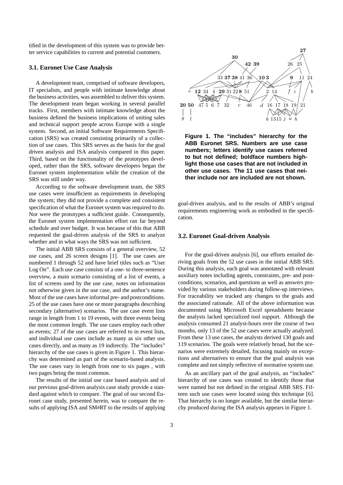tified in the development of this system was to provide better service capabilities to current and potential customers.

#### **3.1. Euronet Use Case Analysis**

A development team, comprised of software developers, IT specialists, and people with intimate knowledge about the business activities, was assembled to deliver this system. The development team began working in several parallel tracks. First, members with intimate knowledge about the business defined the business implications of uniting sales and technical support people across Europe with a single system. Second, an initial Software Requirements Specification (SRS) was created consisting primarily of a collection of use cases. This SRS serves as the basis for the goal driven analysis and ISA analysis compared in this paper. Third, based on the functionality of the prototypes developed, rather than the SRS, software developers began the Euronet system implementation while the creation of the SRS was still under way.

According to the software development team, the SRS use cases were insufficient as requirements in developing the system; they did not provide a complete and consistent specification of what the Euronet system was required to do. Nor were the prototypes a sufficient guide. Consequently, the Euronet system implementation effort ran far beyond schedule and over budget. It was because of this that ABB requested the goal-driven analysis of the SRS to analyze whether and in what ways the SRS was not sufficient.

The initial ABB SRS consists of a general overview, 52 use cases, and 26 screen designs [1]. The use cases are numbered 1 through 52 and have brief titles such as "User Log On". Each use case consists of a one- to three-sentence overview, a main scenario consisting of a list of events, a list of screens used by the use case, notes on information not otherwise given in the use case, and the author's name. Most of the use cases have informal pre- and postconditions. 25 of the use cases have one or more paragraphs describing secondary (alternative) scenarios. The use case event lists range in length from 1 to 19 events, with three events being the most common length. The use cases employ each other as events; 27 of the use cases are referred to in event lists, and individual use cases include as many as six other use cases directly, and as many as 19 indirectly. The "includes" hierarchy of the use cases is given in Figure 1. This hierarchy was determined as part of the scenario-based analysis. The use cases vary in length from one to six pages , with two pages being the most common.

The results of the initial use case based analysis and of our previous goal-driven analysis case study provide a standard against which to compare. The goal of our second Euronet case study, presented herein, was to compare the results of applying ISA and SMaRT to the results of applying



**Figure 1. The "includes" hierarchy for the ABB Euronet SRS. Numbers are use case numbers; letters identify use cases referred to but not defined; boldface numbers highlight those use cases that are not included in other use cases. The 11 use cases that neither include nor are included are not shown.**

goal-driven analysis, and to the results of ABB's original requirements engineering work as embodied in the specification.

#### **3.2. Euronet Goal-driven Analysis**

For the goal-driven analysis [6], our efforts entailed deriving goals from the 52 use cases in the initial ABB SRS. During this analysis, each goal was annotated with relevant auxiliary notes including agents, constraints, pre- and postconditions, scenarios, and questions as well as answers provided by various stakeholders during follow-up interviews. For traceability we tracked any changes to the goals and the associated rationale. All of the above information was documented using Microsoft Excel spreadsheets because the analysts lacked specialized tool support. Although the analysis consumed 21 analyst-hours over the course of two months, only 13 of the 52 use cases were actually analyzed. From these 13 use cases, the analysts derived 130 goals and 119 scenarios. The goals were relatively broad, but the scenarios were extremely detailed, focusing mainly on exceptions and alternatives to ensure that the goal analysis was complete and not simply reflective of normative system use.

As an ancillary part of the goal analysis, an "includes" hierarchy of use cases was created to identify those that were named but not defined in the original ABB SRS. Fifteen such use cases were located using this technique [6]. That hierarchy is no longer available, but the similar hierarchy produced during the ISA analysis appears in Figure 1.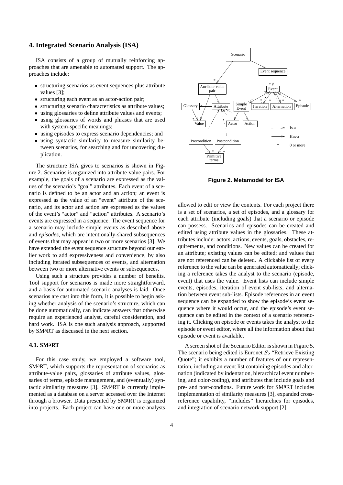#### **4. Integrated Scenario Analysis (ISA)**

ISA consists of a group of mutually reinforcing approaches that are amenable to automated support. The approaches include:

- structuring scenarios as event sequences plus attribute values [3];
- structuring each event as an actor-action pair;
- structuring scenario characteristics as attribute values;
- using glossaries to define attribute values and events;
- using glossaries of words and phrases that are used with system-specific meanings;
- using episodes to express scenario dependencies; and
- using syntactic similarity to measure similarity between scenarios, for searching and for uncovering duplication.

The structure ISA gives to scenarios is shown in Figure 2. Scenarios is organized into attribute-value pairs. For example, the goals of a scenario are expressed as the values of the scenario's "goal" attributes. Each event of a scenario is defined to be an actor and an action; an event is expressed as the value of an "event" attribute of the scenario, and its actor and action are expressed as the values of the event's "actor" and "action" attributes. A scenario's events are expressed in a sequence. The event sequence for a scenario may include simple events as described above and *episodes*, which are intentionally-shared subsequences of events that may appear in two or more scenarios [3]. We have extended the event sequence structure beyond our earlier work to add expressiveness and convenience, by also including iterated subsequences of events, and alternation between two or more alternative events or subsequences.

Using such a structure provides a number of benefits. Tool support for scenarios is made more straightforward, and a basis for automated scenario analyses is laid. Once scenarios are cast into this form, it is possible to begin asking whether analysis of the scenario's structure, which can be done automatically, can indicate answers that otherwise require an experienced analyst, careful consideration, and hard work. ISA is one such analysis approach, supported by SMaRT as discussed in the next section.

### **4.1. SMaRT**

For this case study, we employed a software tool, SMaRT, which supports the representation of scenarios as attribute-value pairs, glossaries of attribute values, glossaries of terms, episode management, and (eventually) syntactic similarity measures [3]. SMaRT is currently implemented as a database on a server accessed over the Internet through a browser. Data presented by SMaRT is organized into projects. Each project can have one or more analysts



**Figure 2. Metamodel for ISA**

allowed to edit or view the contents. For each project there is a set of scenarios, a set of episodes, and a glossary for each attribute (including goals) that a scenario or episode can possess. Scenarios and episodes can be created and edited using attribute values in the glossaries. These attributes include: actors, actions, events, goals, obstacles, requirements, and conditions. New values can be created for an attribute; existing values can be edited; and values that are not referenced can be deleted. A clickable list of every reference to the value can be generated automatically; clicking a reference takes the analyst to the scenario (episode, event) that uses the value. Event lists can include simple events, episodes, iteration of event sub-lists, and alternation between event sub-lists. Episode references in an event sequence can be expanded to show the episode's event sequence where it would occur, and the episode's event sequence can be edited in the context of a scenario referencing it. Clicking on episode or events takes the analyst to the episode or event editor, where all the information about that episode or event is available.

A screen shot of the Scenario Editor is shown in Figure 5. The scenario being edited is Euronet  $S_2$  "Retrieve Existing Quote"; it exhibits a number of features of our representation, including an event list containing episodes and alternation (indicated by indentation, hierarchical event numbering, and color-coding), and attributes that include goals and pre- and post-condions. Future work for SMaRT includes implementation of similarity measures [3], expanded crossreference capability, "includes" hierarchies for episodes, and integration of scenario network support [2].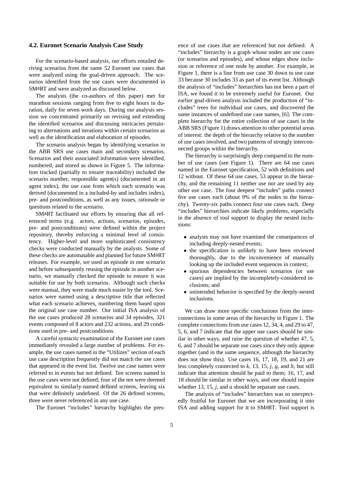#### **4.2. Euronet Scenario Analysis Case Study**

For the scenario-based analysis, our efforts entailed deriving scenarios from the same 52 Euronet use cases that were analyzed using the goal-driven approach. The scenarios identified from the use cases were documented in SMaRT and were analyzed as discussed below.

The analysts (the co-authors of this paper) met for marathon sessions ranging from five to eight hours in duration, daily for seven work days. During our analysis session we concentrated primarily on revising and extending the identified scenarios and discussing intricacies pertaining to alternations and iterations within certain scenarios as well as the identification and elaboration of episodes.

The scenario analysis began by identifying scenarios in the ABB SRS use cases main and secondary scenarios. Scenarios and their associated information were identified, numbered, and stored as shown in Figure 5. The information tracked (partially to ensure traceability) included the scenario number, responsible agent(s) (documented in an agent index), the use case from which each scenario was derived (documented in a included-by and includes index), pre- and postconditions, as well as any issues, rationale or questions related to the scenario.

SMaRT facilitated our efforts by ensuring that all referenced terms (e.g. actors, actions, scenarios, episodes, pre- and postconditions) were defined within the project repository, thereby enforcing a minimal level of consistency. Higher-level and more sophisticated consistency checks were conducted manually by the analysts. Some of these checks are automatable and planned for future SMaRT releases. For example, we used an episode in one scenario and before subsequently reusing the episode in another scenario, we manually checked the episode to ensure it was suitable for use by both scenarios. Although such checks were manual, they were made much easier by the tool. Scenarios were named using a descriptive title that reflected what each scenario achieves, numbering them based upon the original use case number. Our initial ISA analysis of the use cases produced 28 scenarios and 34 episodes, 321 events composed of 8 actors and 232 actions, and 29 conditions used in pre- and postconditions.

A careful syntactic examination of the Euronet use cases immediately revealed a large number of problems. For example, the use cases named in the "Utilizes" section of each use case description frequently did not match the use cases that appeared in the event list. Twelve use case names were referred to in events but not defined. Ten screens named in the use cases were not defined; four of the ten were deemed equivalent to similarly-named defined screens, leaving six that were definitely undefined. Of the 26 defined screens, three were never referenced in any use case.

The Euronet "includes" hierarchy highlights the pres-

ence of use cases that are referenced but not defined. A "includes" hierarchy is a graph whose nodes are use cases (or scenarios and episodes), and whose edges show inclusion or reference of one node by another. For example, in Figure 1, there is a line from use case 30 down to use case 33 because 30 includes 33 as part of its event list. Although the analysis of "includes" hierarchies has not been a part of ISA, we found it to be extremely useful for Euronet. Our earlier goal-driven analysis included the production of "includes" trees for individual use cases, and discovered the same instances of undefined use case names, [6]. The complete hierarchy for the entire collection of use cases in the ABB SRS (Figure 1) draws attention to other potential areas of interest: the depth of the hierarchy relative to the number of use cases involved, and two patterns of strongly interconnected groups within the hierarchy.

The hierarchy is surprisingly deep compared to the number of use cases (see Figure 1). There are 64 use cases named in the Euronet specification, 52 with definitions and 12 without. Of these 64 use cases, 53 appear in the hierarchy, and the remaining 11 neither use nor are used by any other use case. The four deepest "includes" paths connect five use cases each (about 9% of the nodes in the hierarchy). Twenty-six paths connect four use cases each. Deep "includes" hierarchies indicate likely problems, especially in the absence of tool support to display the nested inclusions:

- analysts may not have examined the consequences of including deeply-nested events;
- the specification is unlikely to have been reviewed thoroughly, due to the inconvenience of manually looking up the included event sequences in context;
- spurious dependencies between scenarios (or use cases) are implied by the incompletely-considered inclusions; and
- unintended behavior is specified by the deeply-nested inclusions.

We can draw more specific conclusions from the interconnections in some areas of the hierarchy in Figure 1. The complete connections from use cases 12, 34, 4, and 29 to 47, 5, 6, and 7 indicate that the upper use cases should be similar in other ways, and raise the question of whether 47, 5, 6, and 7 should be separate use cases since they only appear together (and in the same sequence, although the hierarchy does not show this). Use cases 16, 17, 18, 19, and 21 are less completely connected to *k*, 13, 15, *j*, *g*, and *h*, but still indicate that attention should be paid to them; 16, 17, and 18 should be similar in other ways, and one should inquire whether 13, 15, *j*, and *a* should be separate use cases.

The analysis of "includes" hierarchies was so unexpectedly fruitful for Euronet that we are incorporating it into ISA and adding support for it to SMaRT. Tool support is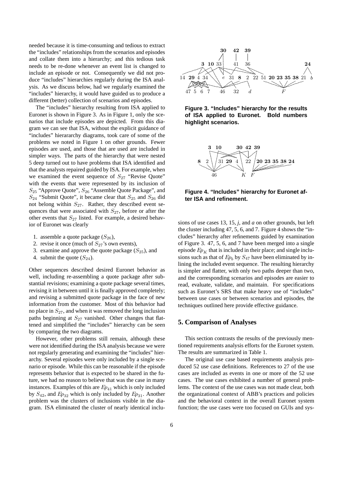needed because it is time-consuming and tedious to extract the "includes" relationships from the scenarios and episodes and collate them into a hierarchy; and this tedious task needs to be re-done whenever an event list is changed to include an episode or not. Consequently we did not produce "includes" hierarchies regularly during the ISA analysis. As we discuss below, had we regularly examined the "includes" hierarchy, it would have guided us to produce a different (better) collection of scenarios and episodes.

The "includes" hierarchy resulting from ISA applied to Euronet is shown in Figure 3. As in Figure 1, only the scenarios that include episodes are depicted. From this diagram we can see that ISA, without the explicit guidance of "includes" hierararchy diagrams, took care of some of the problems we noted in Figure 1 on other grounds. Fewer episodes are used, and those that are used are included in simpler ways. The parts of the hierarchy that were nested 5 deep turned out to have problems that ISA identified and that the analysts repaired guided by ISA. For example, when we examined the event sequence of  $S_{27}$  "Revise Quote" with the events that were represented by its inclusion of S<sub>25</sub> "Approve Quote", S<sub>26</sub> "Assemble Quote Package", and  $S_{24}$  "Submit Quote", it became clear that  $S_{25}$  and  $S_{26}$  did not belong within  $S_{27}$ . Rather, they described event sequences that were associated with  $S_{27}$ , before or after the other events that  $S_{27}$  listed. For example, a desired behavior of Euronet was clearly

- 1. assemble a quote package  $(S_{26})$ ,
- 2. revise it once (much of  $S_{27}$ 's own events),
- 3. examine and approve the quote package  $(S_{25})$ , and
- 4. submit the quote  $(S_{24})$ .

Other sequences described desired Euronet behavior as well, including re-assembling a quote package after substantial revisions; examining a quote package several times, revising it in between until it is finally approved completely; and revising a submitted quote package in the face of new information from the customer. Most of this behavior had no place in  $S_{27}$ , and when it was removed the long inclusion paths beginning at  $S_{27}$  vanished. Other changes that flattened and simplified the "includes" hierarchy can be seen by comparing the two diagrams.

However, other problems still remain, although these were not identified during the ISA analysis because we were not regularly generating and examining the "includes" hierarchy. Several episodes were only included by a single scenario or episode. While this can be reasonable if the episode represents behavior that is expected to be shared in the future, we had no reason to believe that was the case in many instances. Examples of this are  $Ep_{41}$  which is only included by  $S_{42}$ , and  $Ep_{32}$  which is only included by  $Ep_{31}$ . Another problem was the clusters of inclusions visible in the diagram. ISA eliminated the cluster of nearly identical inclu-



**Figure 3. "Includes" hierarchy for the results of ISA applied to Euronet. Bold numbers highlight scenarios.**



**Figure 4. "Includes" hierarchy for Euronet after ISA and refinement.**

sions of use cases 13, 15, *j*, and *a* on other grounds, but left the cluster including 47, 5, 6, and 7. Figure 4 shows the "includes" hierarchy after refinements guided by examination of Figure 3. 47, 5, 6, and 7 have been merged into a single episode  $Ep_K$  that is included in their place; and single inclusions such as that of  $Ep_b$  by  $S_{47}$  have been eliminated by inlining the included event sequence. The resulting hierarchy is simpler and flatter, with only two paths deeper than two, and the corresponding scenarios and episodes are easier to read, evaluate, validate, and maintain. For specifications such as Euronet's SRS that make heavy use of "includes" between use cases or between scenarios and episodes, the techniques outlined here provide effective guidance.

# **5. Comparison of Analyses**

This section contrasts the results of the previously mentioned requirements analysis efforts for the Euronet system. The results are summarized in Table 1.

The original use case based requirements analysis produced 52 use case definitions. References to 27 of the use cases are included as events in one or more of the 52 use cases. The use cases exhibited a number of general problems. The context of the use cases was not made clear, both the organizational context of ABB's practices and policies and the behavioral context in the overall Euronet system function; the use cases were too focused on GUIs and sys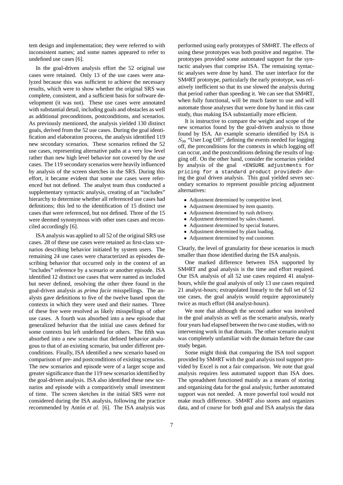tem design and implementation; they were referred to with inconsistent names; and some names appeared to refer to undefined use cases [6].

In the goal-driven analysis effort the 52 original use cases were retained. Only 13 of the use cases were analyzed because this was sufficient to achieve the necessary results, which were to show whether the original SRS was complete, consistent, and a sufficient basis for software development (it was not). These use cases were annotated with substantial detail, including goals and obstacles as well as additional preconditions, postconditions, and scenarios. As previously mentioned, the analysis yielded 130 distinct goals, derived from the 52 use cases. During the goal identification and elaboration process, the analysis identified 119 new secondary scenarios. These scenarios refined the 52 use cases, representing alternative paths at a very low level rather than new high level behavior not covered by the use cases. The 119 secondary scenarios were heavily influenced by analysis of the screen sketches in the SRS. During this effort, it became evident that some use cases were referenced but not defined. The analyst team thus conducted a supplementary syntactic analysis, creating of an "includes" hierarchy to determine whether all referenced use cases had definitions; this led to the identification of 15 distinct use cases that were referenced, but not defined. Three of the 15 were deemed synonymous with other uses cases and reconciled accordingly [6].

ISA analysis was applied to all 52 of the original SRS use cases. 28 of these use cases were retained as first-class scenarios describing behavior initiated by system users. The remaining 24 use cases were characterized as episodes describing behavior that occurred only in the context of an "includes" reference by a scenario or another episode. ISA identified 12 distinct use cases that were named as included but never defined, resolving the other three found in the goal-driven analysis as *prima facie* misspellings. The analysts gave definitions to five of the twelve based upon the contexts in which they were used and their names. Three of these five were resolved as likely misspellings of other use cases. A fourth was absorbed into a new episode that generalized behavior that the initial use cases defined for some contexts but left undefined for others. The fifth was absorbed into a new scenario that defined behavior analogous to that of an existing scenario, but under different preconditions. Finally, ISA identified a new scenario based on comparison of pre- and postconditions of existing scenarios. The new scenarios and episode were of a larger scope and greater significance than the 119 new scenarios identified by the goal-driven analysis. ISA also identified these new scenarios and episode with a comparitively small investment of time. The screen sketches in the initial SRS were not considered during the ISA analysis, following the practice recommended by Antón et al. [6]. The ISA analysis was performed using early prototypes of SMaRT. The effects of using these prototypes was both positive and negative. The prototypes provided some automated support for the syntactic analyses that comprise ISA. The remaining syntactic analyses were done by hand. The user interface for the SMaRT prototype, particularly the early prototype, was relatively inefficient so that its use slowed the analysis during that period rather than speeding it. We can see that SMaRT, when fully functional, will be much faster to use and will automate those analyses that were done by hand in this case study, thus making ISA substantially more efficient.

It is instructive to compare the weight and scope of the new scenarios found by the goal-driven analysis to those found by ISA. An example scenario identified by ISA is  $S_{98}$  "User Log Off", defining the events needed for logging off, the preconditions for the contexts in which logging off can occur, and the postconditions defining the results of logging off. On the other hand, consider the scenarios yielded by analysis of the goal <ENSURE adjustments for pricing for a standard product provided> during the goal driven analysis. This goal yielded seven secondary scenarios to represent possible pricing adjustment alternatives:

- Adjustment determined by competitive level.
- Adjustment determined by item quantity.
- Adjustment determined by rush delivery.
- Adjustment determined by sales channel.
- Adjustment determined by special features.
- Adjustment determined by plant loading.
- Adjustment determined by end customer.

Clearly, the level of granularity for these scenarios is much smaller than those identified during the ISA analysis.

One marked difference between ISA supported by SMaRT and goal analysis is the time and effort required. Our ISA analysis of all 52 use cases required 41 analysthours, while the goal analysis of only 13 use cases required 21 analyst-hours; extrapolated linearly to the full set of 52 use cases, the goal analyis would require approximately twice as much effort (84 analyst-hours).

We note that although the second author was involved in the goal analysis as well as the scenario analysis, nearly four years had elapsed between the two case studies, with no intervening work in that domain. The other scenario analyst was completely unfamiliar with the domain before the case study began.

Some might think that comparing the ISA tool support provided by SMaRT with the goal analysis tool support provided by Excel is not a fair comparison. We note that goal analysis requires less automated support than ISA does. The spreadsheet functioned mainly as a means of storing and organizing data for the goal analysis; further automated support was not needed. A more powerful tool would not make much difference. SMaRT also stores and organizes data, and of course for both goal and ISA analysis the data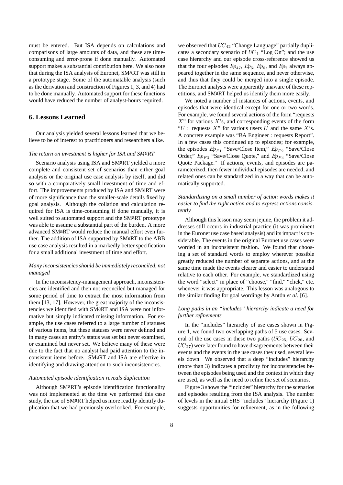must be entered. But ISA depends on calculations and comparisons of large amounts of data, and these are timeconsuming and error-prone if done manually. Automated support makes a substantial contribution here. We also note that during the ISA analysis of Euronet, SMaRT was still in a prototype stage. Some of the automatable analysis (such as the derivation and construction of Figures 1, 3, and 4) had to be done manually. Automated support for these functions would have reduced the number of analyst-hours required.

### **6. Lessons Learned**

Our analysis yielded several lessons learned that we believe to be of interest to practitioners and researchers alike.

#### *The return on investment is higher for ISA and SMaRT*

Scenario analysis using ISA and SMaRT yielded a more complete and consistent set of scenarios than either goal analysis or the original use case analysis by itself, and did so with a comparatively small investment of time and effort. The improvements produced by ISA and SMaRT were of more significance than the smaller-scale details fixed by goal analysis. Although the collation and calculation required for ISA is time-consuming if done manually, it is well suited to automated support and the SMaRT prototype was able to assume a substantial part of the burden. A more advanced SMaRT would reduce the manual effort even further. The addition of ISA supported by SMaRT to the ABB use case analysis resulted in a markedly better specification for a small additional investment of time and effort.

#### *Many inconsistencies should be immediately reconciled, not managed*

In the inconsistency-management approach, inconsistencies are identified and then not reconciled but managed for some period of time to extract the most information from them [13, 17]. However, the great majority of the inconsistencies we identified with SMaRT and ISA were not informative but simply indicated missing information. For example, the use cases referred to a large number of statuses of various items, but these statuses were never defined and in many cases an entity's status was set but never examined, or examined but never set. We believe many of these were due to the fact that no analyst had paid attention to the inconsistent items before. SMaRT and ISA are effective in identifying and drawing attention to such inconsistencies.

#### *Automated episode identification reveals duplication*

Although SMaRT's episode identification functionality was not implemented at the time we performed this case study, the use of SMaRT helped us more readily identify duplication that we had previously overlooked. For example, we observed that  $UC_{42}$  "Change Language" partially duplicates a secondary scenario of  $UC_1$  "Log On"; and the use case hierarchy and our episode cross-reference showed us that the four episodes  $Ep_{47}$ ,  $Ep_5$ ,  $Ep_6$ , and  $Ep_7$  always appeared together in the same sequence, and never otherwise, and thus that they could be merged into a single episode. The Euronet analysts were apparently unaware of these repetitions, and SMaRT helped us identify them more easily.

We noted a number of instances of actions, events, and episodes that were identical except for one or two words. For example, we found several actions of the form "requests  $X$ " for various  $X$ 's, and corresponding events of the form " $U$ : requests  $X$ " for various users  $U$  and the same  $X$ 's. A concrete example was "BA Engineer : requests Report". In a few cases this continued up to episodes; for example, the episodes  $Ep_{F1}$  "Save/Close Item,"  $Ep_{F2}$  "Save/Close Order,"  $Ep_{F3}$  "Save/Close Quote," and  $Ep_{F4}$  "Save/Close Quote Package." If actions, events, and episodes are parameterized, then fewer individual episodes are needed, and related ones can be standardized in a way that can be automatically supported.

### *Standardizing on a small number of action words makes it easier to find the right action and to express actions consistently*

Although this lesson may seem jejune, the problem it addresses still occurs in industrial practice (it was prominent in the Euronet use case based analysis) and its impact is considerable. The events in the original Euronet use cases were worded in an inconsistent fashion. We found that choosing a set of standard words to employ wherever possible greatly reduced the number of separate actions, and at the same time made the events clearer and easier to understand relative to each other. For example, we standardized using the word "select" in place of "choose," "find," "click," etc. whenever it was appropriate. This lesson was analogous to the similar finding for goal wordings by Antón *et al.* [6].

#### *Long paths in an "includes" hierarchy indicate a need for further refinements*

In the "includes" hierarchy of use cases shown in Figure 1, we found two overlapping paths of 5 use cases. Several of the use cases in these two paths  $(UC_{25}, UC_{26},$  and  $UC_{27}$ ) were later found to have disagreements between their events and the events in the use cases they used, several levels down. We observed that a deep "includes" hierarchy (more than 3) indicates a proclivity for inconsistencies between the episodes being used and the context in which they are used, as well as the need to refine the set of scenarios.

Figure 3 shows the "includes" hierarchy for the scenarios and episodes resulting from the ISA analysis. The number of levels in the initial SRS "includes" hierarchy (Figure 1) suggests opportunities for refinement, as in the following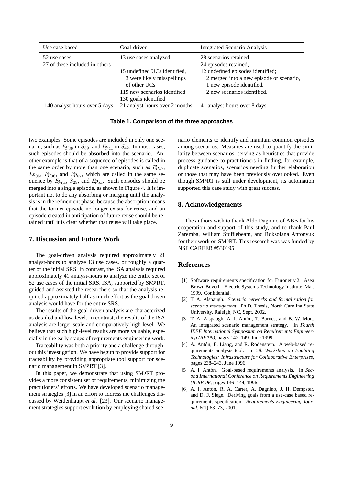| Use case based                 | Goal-driven                     | <b>Integrated Scenario Analysis</b>      |
|--------------------------------|---------------------------------|------------------------------------------|
| 52 use cases                   | 13 use cases analyzed           | 28 scenarios retained.                   |
| 27 of these included in others |                                 | 24 episodes retained,                    |
|                                | 15 undefined UCs identified,    | 12 undefined episodes identified;        |
|                                | 3 were likely misspellings      | 2 merged into a new episode or scenario, |
|                                | of other UCs                    | 1 new episode identified.                |
|                                | 119 new scenarios identified    | 2 new scenarios identified.              |
|                                | 130 goals identified            |                                          |
| 140 analyst-hours over 5 days  | 21 analyst-hours over 2 months. | 41 analyst-hours over 8 days.            |

**Table 1. Comparison of the three approaches**

two examples. Some episodes are included in only one scenario, such as  $Ep_{36}$  in  $S_{39}$ , and  $Ep_{41}$  in  $S_{42}$ . In most cases, such episodes should be absorbed into the scenario. Another example is that of a sequence of episodes is called in the same order by more than one scenario, such as  $Ep_{47}$ ,  $Ep_{05}$ ,  $Ep_{06}$ , and  $Ep_{07}$ , which are called in the same sequence by  $Ep_{04}$ ,  $S_{29}$ , and  $Ep_{34}$ . Such episodes should be merged into a single episode, as shown in Figure 4. It is important not to do any absorbing or merging until the analysis is in the refinement phase, because the absorption means that the former episode no longer exists for reuse, and an episode created in anticipation of future reuse should be retained until it is clear whether that reuse will take place.

#### **7. Discussion and Future Work**

The goal-driven analysis required approximately 21 analyst-hours to analyze 13 use cases, or roughly a quarter of the initial SRS. In contrast, the ISA analysis required approximately 41 analyst-hours to analyze the entire set of 52 use cases of the initial SRS. ISA, supported by SMaRT, guided and assisted the researchers so that the analysis required approximately half as much effort as the goal driven analysis would have for the entire SRS.

The results of the goal-driven analysis are characterized as detailed and low-level. In contrast, the results of the ISA analysis are larger-scale and comparatively high-level. We believe that such high-level results are more valuable, especially in the early stages of requirements engineering work.

Traceability was both a priority and a challenge throughout this investigation. We have begun to provide support for traceability by providing appropriate tool support for scenario management in SMaRT [3].

In this paper, we demonstrate that using SMaRT provides a more consistent set of requirements, minimizing the practitioners' efforts. We have developed scenario management strategies [3] in an effort to address the challenges discussed by Weidenhaupt *et al.* [23]. Our scenario management strategies support evolution by employing shared scenario elements to identify and maintain common episodes among scenarios. Measures are used to quantify the similarity between scenarios, serving as heuristics that provide process guidance to practitioners in finding, for example, duplicate scenarios, scenarios needing further elaboration or those that may have been previously overlooked. Even though SMaRT is still under development, its automation supported this case study with great success.

# **8. Acknowledgements**

The authors wish to thank Aldo Dagnino of ABB for his cooperation and support of this study, and to thank Paul Zaremba, William Stufflebeam, and Roksolana Antonyuk for their work on SMaRT. This research was was funded by NSF CAREER #530195.

# **References**

- [1] Software requirements specification for Euronet v.2. Asea Brown Boveri – Electric Systems Technology Institute, Mar. 1999. Confidential.
- [2] T. A. Alspaugh. *Scenario networks and formalization for scenario management*. Ph.D. Thesis, North Carolina State University, Raleigh, NC, Sept. 2002.
- [3] T. A. Alspaugh, A. I. Antón, T. Barnes, and B. W. Mott. An integrated scenario management strategy. In *Fourth IEEE International Symposium on Requirements Engineering (RE'99)*, pages 142–149, June 1999.
- [4] A. Antón, E. Liang, and R. Rodenstein. A web-based requirements analysis tool. In *5th Workshop on Enabling Technologies: Infrastructure for Collaborative Enterprises*, pages 238–243, June 1996.
- [5] A. I. Antón. Goal-based requirements analysis. In Sec*ond International Conference on Requirements Engineering (ICRE'96*, pages 136–144, 1996.
- [6] A. I. Antón, R. A. Carter, A. Dagnino, J. H. Dempster, and D. F. Siege. Deriving goals from a use-case based requirements specification. *Requirements Engineering Journal*, 6(1):63–73, 2001.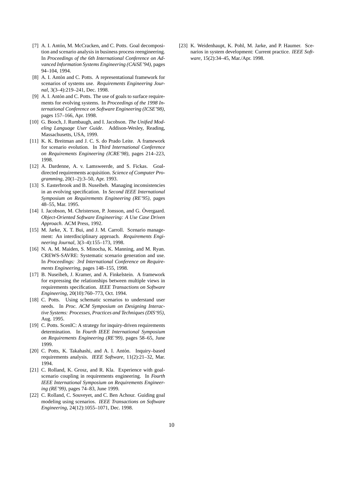- [7] A. I. Antón, M. McCracken, and C. Potts. Goal decomposition and scenario analysis in business process reengineering. In *Proceedings of the 6th International Conference on Advanced Information Systems Engineering (CAiSE'94)*, pages 94–104, 1994.
- [8] A. I. Antón and C. Potts. A representational framework for scenarios of systems use. *Requirements Engineering Journal*, 3(3–4):219–241, Dec. 1998.
- [9] A. I. Antón and C. Potts. The use of goals to surface requirements for evolving systems. In *Proceedings of the 1998 International Conference on Software Engineering (ICSE'98)*, pages 157–166, Apr. 1998.
- [10] G. Booch, J. Rumbaugh, and I. Jacobson. *The Unified Modeling Language User Guide*. Addison-Wesley, Reading, Massachusetts, USA, 1999.
- [11] K. K. Breitman and J. C. S. do Prado Leite. A framework for scenario evolution. In *Third International Conference on Requirements Engineering (ICRE'98)*, pages 214–223, 1998.
- [12] A. Dardenne, A. v. Lamsweerde, and S. Fickas. Goaldirected requirements acquisition. *Science of Computer Programming*, 20(1–2):3–50, Apr. 1993.
- [13] S. Easterbrook and B. Nuseibeh. Managing inconsistencies in an evolving specification. In *Second IEEE International Symposium on Requirements Engineering (RE'95)*, pages 48–55, Mar. 1995.
- [14] I. Jacobson, M. Christerson, P. Jonsson, and G. Övergaard. *Object-Oriented Software Engineering: A Use Case Driven Approach*. ACM Press, 1992.
- [15] M. Jarke, X. T. Bui, and J. M. Carroll. Scenario management: An interdisciplinary approach. *Requirements Engineering Journal*, 3(3–4):155–173, 1998.
- [16] N. A. M. Maiden, S. Minocha, K. Manning, and M. Ryan. CREWS-SAVRE: Systematic scenario generation and use. In *Proceedings: 3rd International Conference on Requirements Engineering*, pages 148–155, 1998.
- [17] B. Nuseibeh, J. Kramer, and A. Finkelstein. A framework for expressing the relationships between multiple views in requirements specification. *IEEE Transactions on Software Engineering*, 20(10):760–773, Oct. 1994.
- [18] C. Potts. Using schematic scenarios to understand user needs. In *Proc. ACM Symposium on Designing Interactive Systems: Processes, Practices and Techniques (DIS'95)*, Aug. 1995.
- [19] C. Potts. ScenIC: A strategy for inquiry-driven requirements determination. In *Fourth IEEE International Symposium on Requirements Engineering (RE'99)*, pages 58–65, June 1999.
- [20] C. Potts, K. Takahashi, and A. I. Antón. Inquiry–based requirements analysis. *IEEE Software*, 11(2):21–32, Mar. 1994.
- [21] C. Rolland, K. Grosz, and R. Kla. Experience with goalscenario coupling in requirements engineering. In *Fourth IEEE International Symposium on Requirements Engineering (RE'99)*, pages 74–83, June 1999.
- [22] C. Rolland, C. Souveyet, and C. Ben Achour. Guiding goal modeling using scenarios. *IEEE Transactions on Software Engineering*, 24(12):1055–1071, Dec. 1998.

[23] K. Weidenhaupt, K. Pohl, M. Jarke, and P. Haumer. Scenarios in system development: Current practice. *IEEE Software*, 15(2):34–45, Mar./Apr. 1998.